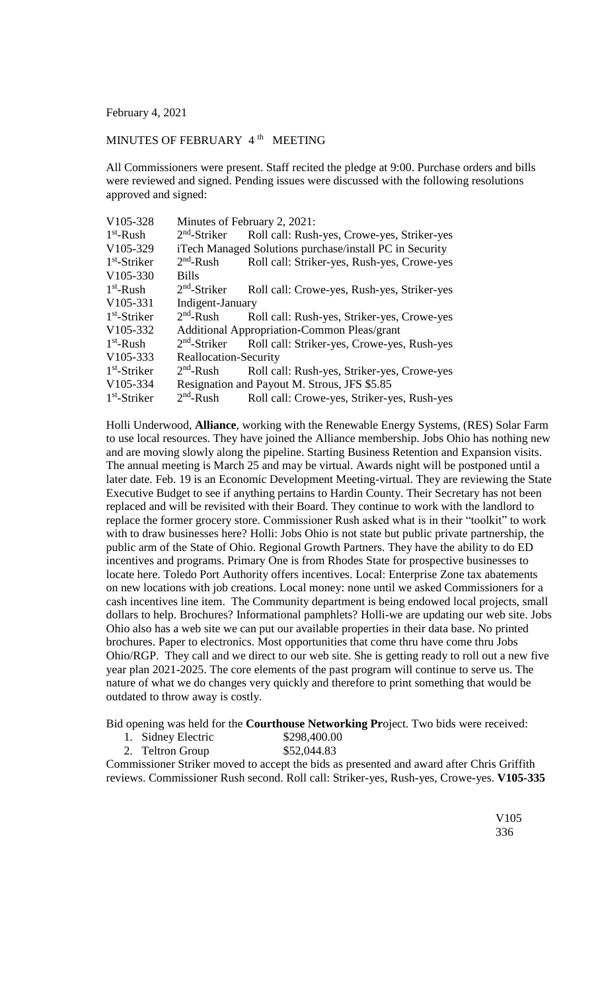February 4, 2021

## MINUTES OF FEBRUARY 4<sup>th</sup> MEETING

All Commissioners were present. Staff recited the pledge at 9:00. Purchase orders and bills were reviewed and signed. Pending issues were discussed with the following resolutions approved and signed:

| V105-328       | Minutes of February 2, 2021:                            |                                             |
|----------------|---------------------------------------------------------|---------------------------------------------|
| $1st$ -Rush    | $2nd$ -Striker                                          | Roll call: Rush-yes, Crowe-yes, Striker-yes |
| V105-329       | iTech Managed Solutions purchase/install PC in Security |                                             |
| $1st$ -Striker | $2nd$ -Rush                                             | Roll call: Striker-yes, Rush-yes, Crowe-yes |
| V105-330       | <b>Bills</b>                                            |                                             |
| $1st$ -Rush    | $2nd$ -Striker                                          | Roll call: Crowe-yes, Rush-yes, Striker-yes |
| V105-331       | Indigent-January                                        |                                             |
| $1st$ -Striker | $2nd$ -Rush                                             | Roll call: Rush-yes, Striker-yes, Crowe-yes |
| V105-332       | <b>Additional Appropriation-Common Pleas/grant</b>      |                                             |
| $1st$ -Rush    | $2nd$ -Striker                                          | Roll call: Striker-yes, Crowe-yes, Rush-yes |
| V105-333       | Reallocation-Security                                   |                                             |
| $1st$ -Striker | $2nd$ -Rush                                             | Roll call: Rush-yes, Striker-yes, Crowe-yes |
| V105-334       | Resignation and Payout M. Strous, JFS \$5.85            |                                             |
| $1st$ -Striker | $2nd$ -Rush                                             | Roll call: Crowe-yes, Striker-yes, Rush-yes |

Holli Underwood, **Alliance**, working with the Renewable Energy Systems, (RES) Solar Farm to use local resources. They have joined the Alliance membership. Jobs Ohio has nothing new and are moving slowly along the pipeline. Starting Business Retention and Expansion visits. The annual meeting is March 25 and may be virtual. Awards night will be postponed until a later date. Feb. 19 is an Economic Development Meeting-virtual. They are reviewing the State Executive Budget to see if anything pertains to Hardin County. Their Secretary has not been replaced and will be revisited with their Board. They continue to work with the landlord to replace the former grocery store. Commissioner Rush asked what is in their "toolkit" to work with to draw businesses here? Holli: Jobs Ohio is not state but public private partnership, the public arm of the State of Ohio. Regional Growth Partners. They have the ability to do ED incentives and programs. Primary One is from Rhodes State for prospective businesses to locate here. Toledo Port Authority offers incentives. Local: Enterprise Zone tax abatements on new locations with job creations. Local money: none until we asked Commissioners for a cash incentives line item. The Community department is being endowed local projects, small dollars to help. Brochures? Informational pamphlets? Holli-we are updating our web site. Jobs Ohio also has a web site we can put our available properties in their data base. No printed brochures. Paper to electronics. Most opportunities that come thru have come thru Jobs Ohio/RGP. They call and we direct to our web site. She is getting ready to roll out a new five year plan 2021-2025. The core elements of the past program will continue to serve us. The nature of what we do changes very quickly and therefore to print something that would be outdated to throw away is costly.

Bid opening was held for the **Courthouse Networking Pr**oject. Two bids were received:

- 1. Sidney Electric \$298,400.00
- 2. Teltron Group \$52,044.83

Commissioner Striker moved to accept the bids as presented and award after Chris Griffith reviews. Commissioner Rush second. Roll call: Striker-yes, Rush-yes, Crowe-yes. **V105-335**

> V105 336